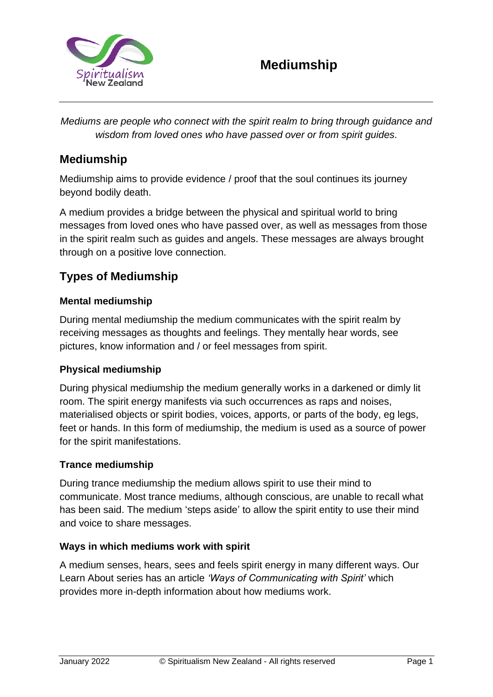

*Mediums are people who connect with the spirit realm to bring through guidance and wisdom from loved ones who have passed over or from spirit guides.*

# **Mediumship**

Mediumship aims to provide evidence / proof that the soul continues its journey beyond bodily death.

A medium provides a bridge between the physical and spiritual world to bring messages from loved ones who have passed over, as well as messages from those in the spirit realm such as guides and angels. These messages are always brought through on a positive love connection.

# **Types of Mediumship**

### **Mental mediumship**

During mental mediumship the medium communicates with the spirit realm by receiving messages as thoughts and feelings. They mentally hear words, see pictures, know information and / or feel messages from spirit.

#### **Physical mediumship**

During physical mediumship the medium generally works in a darkened or dimly lit room. The spirit energy manifests via such occurrences as raps and noises, materialised objects or spirit bodies, voices, apports, or parts of the body, eg legs, feet or hands. In this form of mediumship, the medium is used as a source of power for the spirit manifestations.

#### **Trance mediumship**

During trance mediumship the medium allows spirit to use their mind to communicate. Most trance mediums, although conscious, are unable to recall what has been said. The medium 'steps aside' to allow the spirit entity to use their mind and voice to share messages.

#### **Ways in which mediums work with spirit**

A medium senses, hears, sees and feels spirit energy in many different ways. Our Learn About series has an article *'Ways of Communicating with Spirit'* which provides more in-depth information about how mediums work.